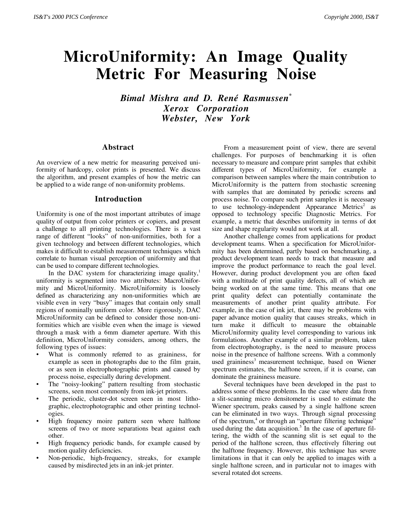# **MicroUniformity: An Image Quality Metric For Measuring Noise**

*Bimal Mishra and D. René Rasmussen\* Xerox Corporation Webster, New York*

## **Abstract**

An overview of a new metric for measuring perceived uniformity of hardcopy, color prints is presented. We discuss the algorithm, and present examples of how the metric can be applied to a wide range of non-uniformity problems.

### **Introduction**

Uniformity is one of the most important attributes of image quality of output from color printers or copiers, and present a challenge to all printing technologies. There is a vast range of different "looks" of non-uniformities, both for a given technology and between different technologies, which makes it difficult to establish measurement techniques which correlate to human visual perception of uniformity and that can be used to compare different technologies.

In the DAC system for characterizing image quality, $<sup>1</sup>$ </sup> uniformity is segmented into two attributes: MacroUniformity and MicroUniformity. MicroUniformity is loosely defined as characterizing any non-uniformities which are visible even in very "busy" images that contain only small regions of nominally uniform color. More rigorously, DAC MicroUniformity can be defined to consider those non-uniformities which are visible even when the image is viewed through a mask with a 6mm diameter aperture. With this definition, MicroUniformity considers, among others, the following types of issues:

- What is commonly referred to as graininess, for example as seen in photographs due to the film grain, or as seen in electrophotographic prints and caused by process noise, especially during development.
- The "noisy-looking" pattern resulting from stochastic screens, seen most commonly from ink-jet printers.
- The periodic, cluster-dot screen seen in most lithographic, electrophotographic and other printing technologies.
- High frequency moire pattern seen where halftone screens of two or more separations beat against each other.
- High frequency periodic bands, for example caused by motion quality deficiencies.
- Non-periodic, high-frequency, streaks, for example caused by misdirected jets in an ink-jet printer.

From a measurement point of view, there are several challenges. For purposes of benchmarking it is often necessary to measure and compare print samples that exhibit different types of MicroUniformity, for example a comparison between samples where the main contribution to MicroUniformity is the pattern from stochastic screening with samples that are dominated by periodic screens and process noise. To compare such print samples it is necessary to use technology-independent Appearance Metrics<sup>2</sup> as opposed to technology specific Diagnostic Metrics. For example, a metric that describes uniformity in terms of dot size and shape regularity would not work at all.

Another challenge comes from applications for product development teams. When a specification for MicroUniformity has been determined, partly based on benchmarking, a product development team needs to track that measure and improve the product performance to reach the goal level. However, during product development you are often faced with a multitude of print quality defects, all of which are being worked on at the same time. This means that one print quality defect can potentially contaminate the measurements of another print quality attribute. For example, in the case of ink jet, there may be problems with paper advance motion quality that causes streaks, which in turn make it difficult to measure the obtainable MicroUniformity quality level corresponding to various ink formulations. Another example of a similar problem, taken from electrophotography, is the need to measure process noise in the presence of halftone screens. With a commonly used graininess<sup>3</sup> measurement technique, based on Wiener spectrum estimates, the halftone screen, if it is coarse, can dominate the graininess measure.

Several techniques have been developed in the past to address some of these problems. In the case where data from a slit-scanning micro densitometer is used to estimate the Wiener spectrum, peaks caused by a single halftone screen can be eliminated in two ways. Through signal processing of the spectrum,<sup>4</sup> or through an "aperture filtering technique" used during the data acquisition.<sup>5</sup> In the case of aperture filtering, the width of the scanning slit is set equal to the period of the halftone screen, thus effectively filtering out the halftone frequency. However, this technique has severe limitations in that it can only be applied to images with a single halftone screen, and in particular not to images with several rotated dot screens.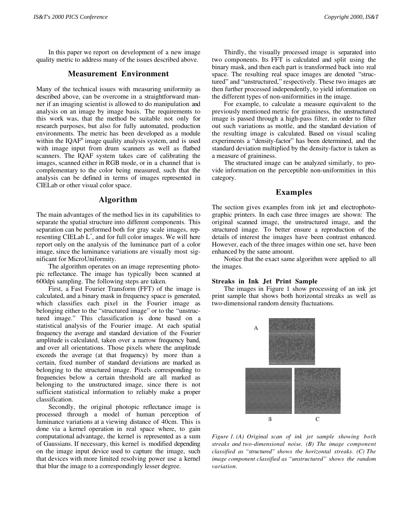In this paper we report on development of a new image quality metric to address many of the issues described above.

## **Measurement Environment**

Many of the technical issues with measuring uniformity as described above, can be overcome in a straightforward manner if an imaging scientist is allowed to do manipulation and analysis on an image by image basis. The requirements to this work was, that the method be suitable not only for research purposes, but also for fully automated, production environments. The metric has been developed as a module within the IQAF<sup>6</sup> image quality analysis system, and is used with image input from drum scanners as well as flatbed scanners. The IQAF system takes care of calibrating the images, scanned either in RGB mode, or in a channel that is complementary to the color being measured, such that the analysis can be defined in terms of images represented in CIELab or other visual color space.

# **Algorithm**

The main advantages of the method lies in its capabilities to separate the spatial structure into different components. This separation can be performed both for gray scale images, representing CIELab L\* , and for full color images. We will here report only on the analysis of the luminance part of a color image, since the luminance variations are visually most significant for MicroUniformity.

The algorithm operates on an image representing photopic reflectance. The image has typically been scanned at 600dpi sampling. The following steps are taken.

First, a Fast Fourier Transform (FFT) of the image is calculated, and a binary mask in frequency space is generated, which classifies each pixel in the Fourier image as belonging either to the "structured image" or to the "unstructured image." This classification is done based on a statistical analysis of the Fourier image. At each spatial frequency the average and standard deviation of the Fourier amplitude is calculated, taken over a narrow frequency band, and over all orientations. Those pixels where the amplitude exceeds the average (at that frequency) by more than a certain, fixed number of standard deviations are marked as belonging to the structured image. Pixels corresponding to frequencies below a certain threshold are all marked as belonging to the unstructured image, since there is not sufficient statistical information to reliably make a proper classification.

Secondly, the original photopic reflectance image is processed through a model of human perception of luminance variations at a viewing distance of 40cm. This is done via a kernel operation in real space where, to gain computational advantage, the kernel is represented as a sum of Gaussians. If necessary, this kernel is modified depending on the image input device used to capture the image, such that devices with more limited resolving power use a kernel that blur the image to a correspondingly lesser degree.

Thirdly, the visually processed image is separated into two components. Its FFT is calculated and split using the binary mask, and then each part is transformed back into real space. The resulting real space images are denoted "structured" and "unstructured," respectively. These two images are then further processed independently, to yield information on the different types of non-uniformities in the image.

For example, to calculate a measure equivalent to the previously mentioned metric for graininess, the unstructured image is passed through a high-pass filter, in order to filter out such variations as mottle, and the standard deviation of the resulting image is calculated. Based on visual scaling experiments a "density-factor" has been determined, and the standard deviation multiplied by the density-factor is taken as a measure of graininess.

The structured image can be analyzed similarly, to provide information on the perceptible non-uniformities in this category.

## **Examples**

The section gives examples from ink jet and electrophotographic printers. In each case three images are shown: The original scanned image, the unstructured image, and the structured image. To better ensure a reproduction of the details of interest the images have been contrast enhanced. However, each of the three images within one set, have been enhanced by the same amount.

Notice that the exact same algorithm were applied to all the images.

#### **Streaks in Ink Jet Print Sample**

The images in Figure 1 show processing of an ink jet print sample that shows both horizontal streaks as well as two-dimensional random density fluctuations.



*Figure 1. (A) Original scan of ink jet sample showing both streaks and two-dimensional noise. (B) The image component classified as "structured" shows the horizontal streaks. (C) The image component classified as "unstructured" shows the random variation.*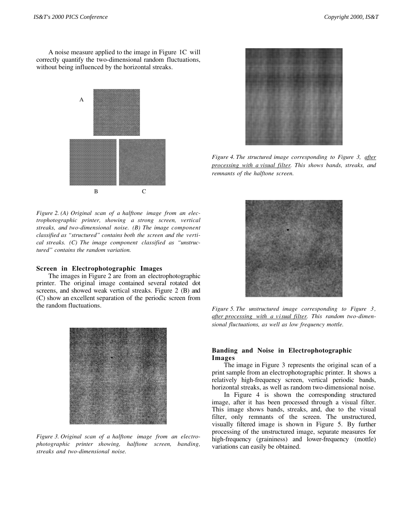A noise measure applied to the image in Figure 1C will correctly quantify the two-dimensional random fluctuations, without being influenced by the horizontal streaks.



*Figure 2. (A) Original scan of a halftone image from an electrophotographic printer, showing a strong screen, vertical streaks, and two-dimensional noise. (B) The image component classified as "structured" contains both the screen and the vertical streaks. (C) The image component classified as "unstructured" contains the random variation.*

#### **Screen in Electrophotographic Images**

The images in Figure 2 are from an electrophotographic printer. The original image contained several rotated dot screens, and showed weak vertical streaks. Figure 2 (B) and (C) show an excellent separation of the periodic screen from the random fluctuations.



*Figure 3. Original scan of a halftone image from an electrophotographic printer showing, halftone screen, banding, streaks and two-dimensional noise.*



*Figure 4. The structured image corresponding to Figure 3, after processing with a visual filter . This shows bands, streaks, and remnants of the halftone screen.*



*Figure 5. The unstructured image corresponding to Figure 3 ,* after processing with a visual filter. This random two-dimen*sional fluctuations, as well as low frequency mottle.*

#### **Banding and Noise in Electrophotographic Images**

The image in Figure 3 represents the original scan of a print sample from an electrophotographic printer. It shows a relatively high-frequency screen, vertical periodic bands, horizontal streaks, as well as random two-dimensional noise.

In Figure 4 is shown the corresponding structured image, after it has been processed through a visual filter. This image shows bands, streaks, and, due to the visual filter, only remnants of the screen. The unstructured, visually filtered image is shown in Figure 5. By further processing of the unstructured image, separate measures for high-frequency (graininess) and lower-frequency (mottle) variations can easily be obtained.